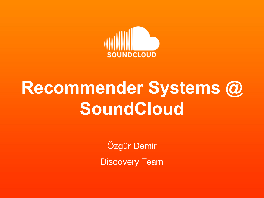

### **Recommender Systems @ SoundCloud**

Özgür Demir

Discovery Team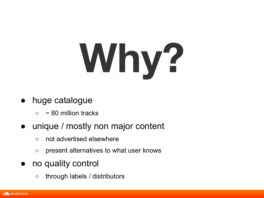# **Why?**

- huge catalogue
	- $\circ$  ~ 80 million tracks

#### unique / mostly non major content

- not advertised elsewhere
- present alternatives to what user knows
- no quality control
	- through labels / distributors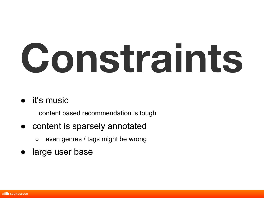# **Constraints**

#### ● it's music

content based recommendation is tough

- content is sparsely annotated
	- even genres / tags might be wrong
- large user base

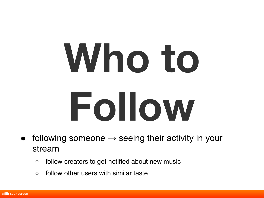# Subtitle Co **Who to Follow**

- following someone  $\rightarrow$  seeing their activity in your stream
	- $\circ$  follow creators to get notified about new music
	- $\circ$  follow other users with similar taste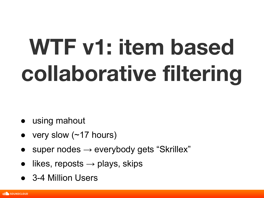# **WTF v1: item based collaborative filtering**

- using mahout
- very slow ( $\sim$ 17 hours)
- super nodes  $\rightarrow$  everybody gets "Skrillex"
- likes, reposts  $\rightarrow$  plays, skips
- 3-4 Million Users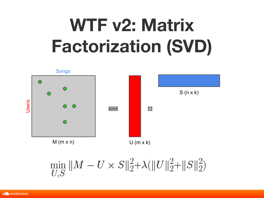# **WTF v2: Matrix Factorization (SVD)**



$$
\min_{U,S}\|M-U\times S\|_2^2{+}\lambda(\|U\|_2^2{+}\|S\|_2^2)
$$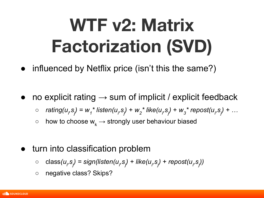# **WTF v2: Matrix Factorization (SVD)**

- influenced by Netflix price (isn't this the same?)
- no explicit rating  $\rightarrow$  sum of implicit / explicit feedback
	- *rating(u<sub>i</sub>,s<sub>j</sub>)* = w<sub>1</sub><sup>\*</sup> listen(u<sub>i</sub>,s<sub>j</sub>) + w<sub>2</sub><sup>\*</sup> like(u<sub>i</sub>,s<sub>j</sub>) + w<sub>3</sub><sup>\*</sup> repost(u<sub>i</sub>,s<sub>j</sub>) + ...
	- $\circ$  how to choose  $w_k \rightarrow$  strongly user behaviour biased
- turn into classification problem
	- class(u<sub>i</sub>,s<sub>j</sub>) = sign(listen(u<sub>i</sub>,s<sub>j</sub>) + like(u<sub>i</sub>,s<sub>j</sub>) + repost(u<sub>i</sub>,s<sub>j</sub>))
	- *○* negative class? Skips?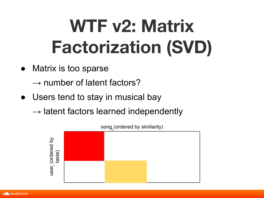# **WTF v2: Matrix Factorization (SVD)**

● Matrix is too sparse

 $\rightarrow$  number of latent factors?

• Users tend to stay in musical bay

 $\rightarrow$  latent factors learned independently



song (ordered by similarity)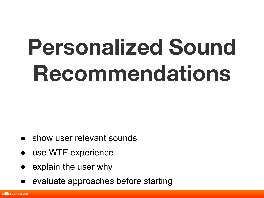- show user relevant sounds
- use WTF experience
- explain the user why
- evaluate approaches before starting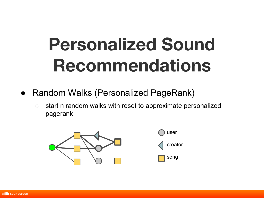- Random Walks (Personalized PageRank)
	- start n random walks with reset to approximate personalized nagerank pagerank



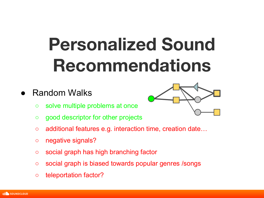#### **Random Walks**



- solve multiple problems at once
- good descriptor for other projects
- additional features e.g. interaction time, creation date…
- negative signals?
- social graph has high branching factor
- social graph is biased towards popular genres /songs
- teleportation factor?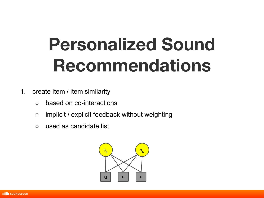- 1. create item / item similarity
	- based on co-interactions
	- o<br>ck without we  $\circ$  implicit / explicit feedback without weighting
	- used as candidate list



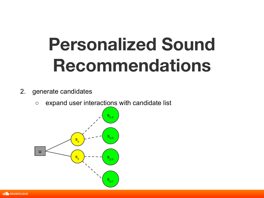- 2. generate candidates
	- expand user interactions with candidate list



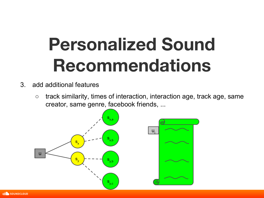- 3. add additional features
	- $\circ$  track similarity, times of interaction, interaction age, track age, same creator, same genre, facebook friends, ...



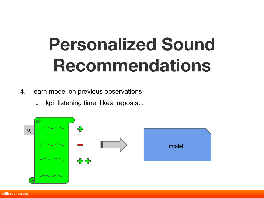- 4. learn model on previous observations
	- kpi: listening time, likes, reposts...



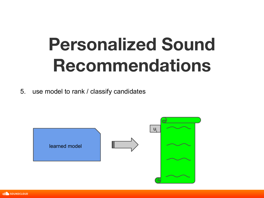5. use model to rank / classify candidates